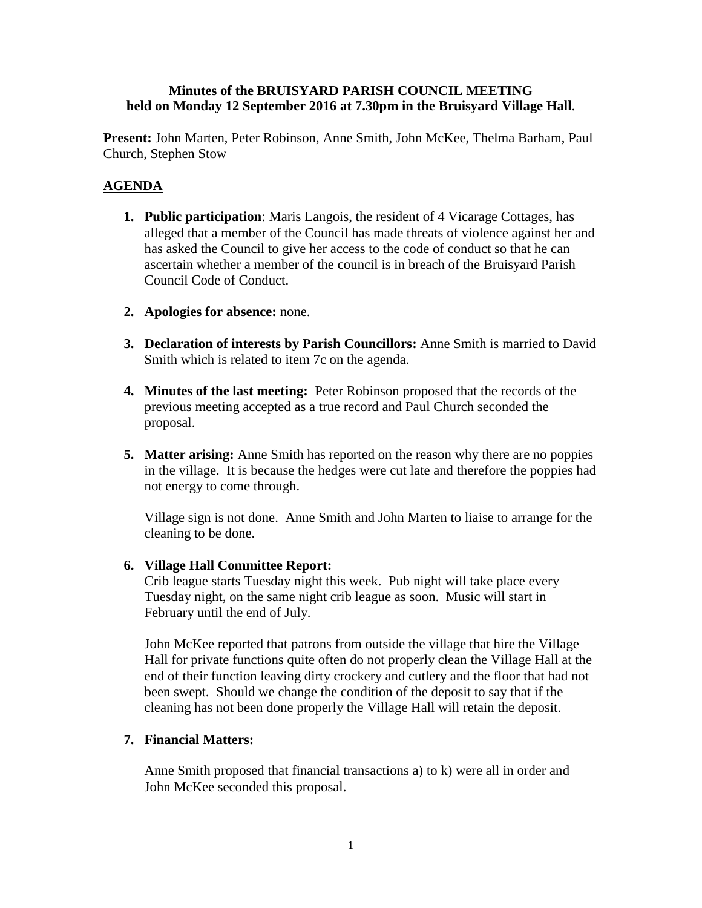## **Minutes of the BRUISYARD PARISH COUNCIL MEETING held on Monday 12 September 2016 at 7.30pm in the Bruisyard Village Hall**.

**Present:** John Marten, Peter Robinson, Anne Smith, John McKee, Thelma Barham, Paul Church, Stephen Stow

# **AGENDA**

- **1. Public participation**: Maris Langois, the resident of 4 Vicarage Cottages, has alleged that a member of the Council has made threats of violence against her and has asked the Council to give her access to the code of conduct so that he can ascertain whether a member of the council is in breach of the Bruisyard Parish Council Code of Conduct.
- **2. Apologies for absence:** none.
- **3. Declaration of interests by Parish Councillors:** Anne Smith is married to David Smith which is related to item 7c on the agenda.
- **4. Minutes of the last meeting:** Peter Robinson proposed that the records of the previous meeting accepted as a true record and Paul Church seconded the proposal.
- **5. Matter arising:** Anne Smith has reported on the reason why there are no poppies in the village. It is because the hedges were cut late and therefore the poppies had not energy to come through.

Village sign is not done. Anne Smith and John Marten to liaise to arrange for the cleaning to be done.

### **6. Village Hall Committee Report:**

Crib league starts Tuesday night this week. Pub night will take place every Tuesday night, on the same night crib league as soon. Music will start in February until the end of July.

John McKee reported that patrons from outside the village that hire the Village Hall for private functions quite often do not properly clean the Village Hall at the end of their function leaving dirty crockery and cutlery and the floor that had not been swept. Should we change the condition of the deposit to say that if the cleaning has not been done properly the Village Hall will retain the deposit.

### **7. Financial Matters:**

Anne Smith proposed that financial transactions a) to k) were all in order and John McKee seconded this proposal.